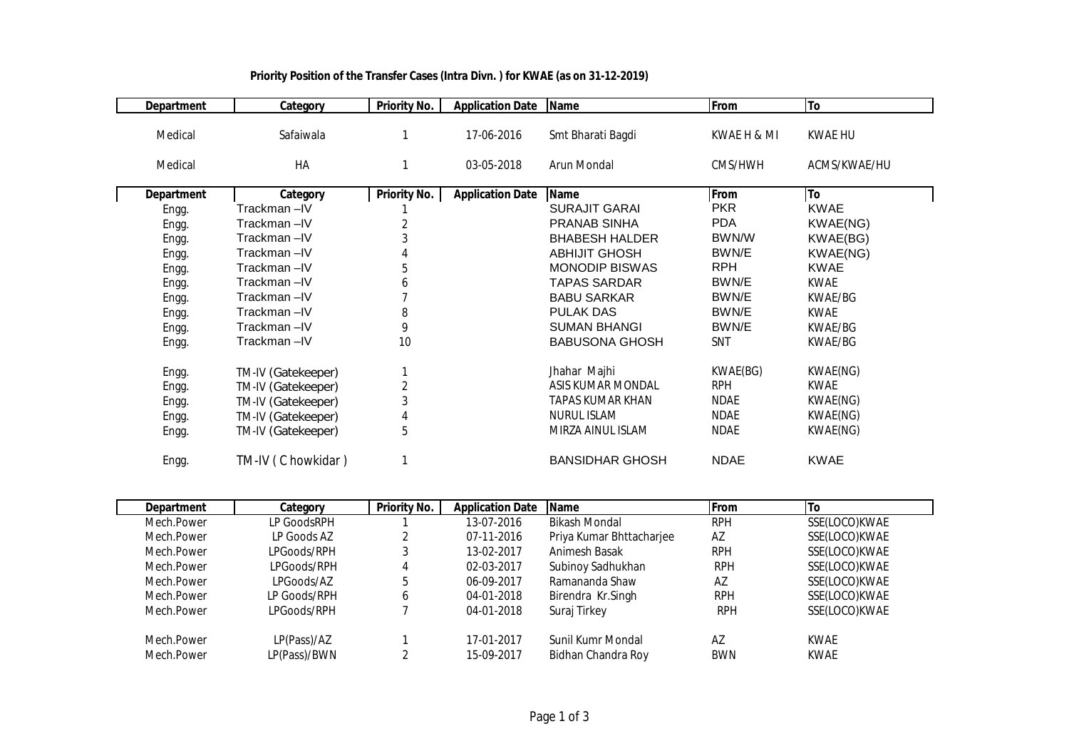| <b>Department</b> | Category           | <b>Priority No.</b> | <b>Application Date</b> | <b>Name</b>             | From        | To           |
|-------------------|--------------------|---------------------|-------------------------|-------------------------|-------------|--------------|
| Medical           | Safaiwala          |                     | 17-06-2016              | Smt Bharati Bagdi       | KWAE H & MI | KWAE HU      |
| Medical           | HA                 | 1                   | 03-05-2018              | Arun Mondal             | CMS/HWH     | ACMS/KWAE/HU |
| <b>Department</b> | Category           | <b>Priority No.</b> | <b>Application Date</b> | <b>Name</b>             | From        | To           |
| Engg.             | Trackman –IV       |                     |                         | <b>SURAJIT GARAI</b>    | <b>PKR</b>  | <b>KWAE</b>  |
| Engg.             | Trackman-IV        | 2                   |                         | <b>PRANAB SINHA</b>     | <b>PDA</b>  | KWAE(NG)     |
| Engg.             | Trackman-IV        | 3                   |                         | <b>BHABESH HALDER</b>   | BWN/W       | KWAE(BG)     |
| Engg.             | Trackman-IV        |                     |                         | <b>ABHIJIT GHOSH</b>    | BWN/E       | KWAE(NG)     |
| Engg.             | Trackman-IV        | 5                   |                         | <b>MONODIP BISWAS</b>   | <b>RPH</b>  | <b>KWAE</b>  |
| Engg.             | Trackman-IV        | 6                   |                         | <b>TAPAS SARDAR</b>     | BWN/E       | <b>KWAE</b>  |
| Engg.             | Trackman-IV        |                     |                         | <b>BABU SARKAR</b>      | BWN/E       | KWAE/BG      |
| Engg.             | Trackman-IV        | 8                   |                         | <b>PULAK DAS</b>        | BWN/E       | <b>KWAE</b>  |
| Engg.             | Trackman-IV        | 9                   |                         | <b>SUMAN BHANGI</b>     | BWN/E       | KWAE/BG      |
| Engg.             | Trackman-IV        | 10                  |                         | <b>BABUSONA GHOSH</b>   | SNT         | KWAE/BG      |
| Engg.             | TM-IV (Gatekeeper) |                     |                         | Jhahar Majhi            | KWAE(BG)    | KWAE(NG)     |
| Engg.             | TM-IV (Gatekeeper) | $\overline{2}$      |                         | ASIS KUMAR MONDAL       | <b>RPH</b>  | <b>KWAE</b>  |
| Engg.             | TM-IV (Gatekeeper) | 3                   |                         | <b>TAPAS KUMAR KHAN</b> | <b>NDAE</b> | KWAE(NG)     |
| Engg.             | TM-IV (Gatekeeper) | 4                   |                         | <b>NURUL ISLAM</b>      | NDAE        | KWAE(NG)     |
| Engg.             | TM-IV (Gatekeeper) | 5                   |                         | MIRZA AINUL ISLAM       | <b>NDAE</b> | KWAE(NG)     |
| Engg.             | TM-IV (C howkidar) |                     |                         | <b>BANSIDHAR GHOSH</b>  | <b>NDAE</b> | <b>KWAE</b>  |

## **Priority Position of the Transfer Cases (Intra Divn. ) for KWAE (as on 31-12-2019)**

| <b>Department</b> | Category     | <b>Priority No.</b> | <b>Application Date</b> | <b>Name</b>              | <b>IFrom</b> | Πo            |
|-------------------|--------------|---------------------|-------------------------|--------------------------|--------------|---------------|
| Mech.Power        | LP GoodsRPH  |                     | 13-07-2016              | Bikash Mondal            | <b>RPH</b>   | SSE(LOCO)KWAE |
| Mech.Power        | LP Goods AZ  |                     | 07-11-2016              | Priya Kumar Bhttacharjee | AZ           | SSE(LOCO)KWAE |
| Mech.Power        | LPGoods/RPH  | 3                   | 13-02-2017              | Animesh Basak            | <b>RPH</b>   | SSE(LOCO)KWAE |
| Mech.Power        | LPGoods/RPH  | 4                   | 02-03-2017              | Subinoy Sadhukhan        | <b>RPH</b>   | SSE(LOCO)KWAE |
| Mech.Power        | LPGoods/AZ   | 5                   | 06-09-2017              | Ramananda Shaw           | AZ           | SSE(LOCO)KWAE |
| Mech.Power        | LP Goods/RPH | b                   | 04-01-2018              | Birendra Kr.Singh        | <b>RPH</b>   | SSE(LOCO)KWAE |
| Mech.Power        | LPGoods/RPH  |                     | 04-01-2018              | Suraj Tirkey             | <b>RPH</b>   | SSE(LOCO)KWAE |
| Mech.Power        | LP(Pass)/AZ  |                     | 17-01-2017              | Sunil Kumr Mondal        | AZ           | <b>KWAE</b>   |
| Mech.Power        | LP(Pass)/BWN |                     | 15-09-2017              | Bidhan Chandra Roy       | <b>BWN</b>   | <b>KWAE</b>   |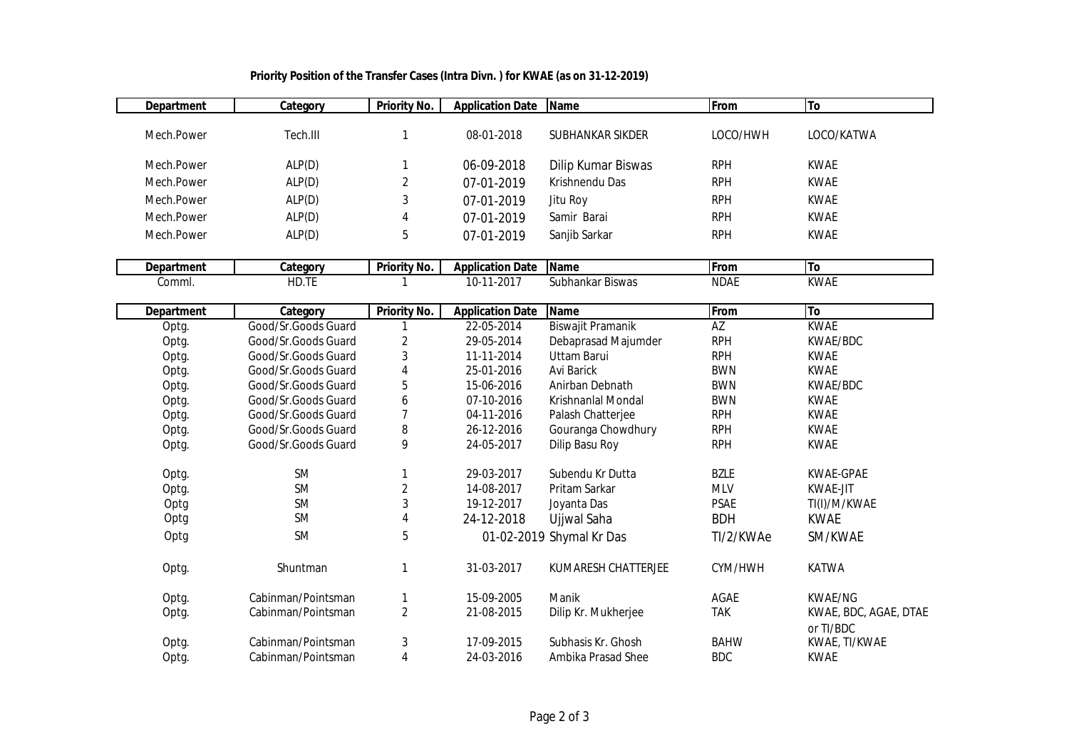| <b>Department</b> | Category            | <b>Priority No.</b>       | <b>Application Date</b> | <b>Name</b>              | From        | To                           |
|-------------------|---------------------|---------------------------|-------------------------|--------------------------|-------------|------------------------------|
|                   |                     |                           |                         |                          |             |                              |
| Mech.Power        | Tech.III            | 1                         | 08-01-2018              | SUBHANKAR SIKDER         | LOCO/HWH    | LOCO/KATWA                   |
| Mech.Power        | ALP(D)              | 1                         | 06-09-2018              | Dilip Kumar Biswas       | <b>RPH</b>  | <b>KWAE</b>                  |
|                   |                     |                           |                         |                          | <b>RPH</b>  |                              |
| Mech.Power        | ALP(D)              | 2                         | 07-01-2019              | Krishnendu Das           |             | <b>KWAE</b>                  |
| Mech.Power        | ALP(D)              | 3                         | 07-01-2019              | Jitu Roy                 | <b>RPH</b>  | <b>KWAE</b>                  |
| Mech.Power        | ALP(D)              | 4                         | 07-01-2019              | Samir Barai              | <b>RPH</b>  | <b>KWAE</b>                  |
| Mech.Power        | ALP(D)              | 5                         | 07-01-2019              | Sanjib Sarkar            | <b>RPH</b>  | <b>KWAE</b>                  |
|                   |                     |                           |                         |                          |             |                              |
| <b>Department</b> | Category            | <b>Priority No.</b>       | <b>Application Date</b> | <b>Name</b>              | From        | To                           |
| Comml.            | HD.TE               |                           | 10-11-2017              | Subhankar Biswas         | <b>NDAE</b> | <b>KWAE</b>                  |
| <b>Department</b> | Category            | <b>Priority No.</b>       | <b>Application Date</b> | <b>Name</b>              | From        | To                           |
| Optg.             | Good/Sr.Goods Guard | $\mathbf{1}$              | 22-05-2014              | Biswajit Pramanik        | AZ          | <b>KWAE</b>                  |
| Optg.             | Good/Sr.Goods Guard | $\overline{c}$            | 29-05-2014              | Debaprasad Majumder      | <b>RPH</b>  | KWAE/BDC                     |
| Optg.             | Good/Sr.Goods Guard | 3                         | 11-11-2014              | <b>Uttam Barui</b>       | <b>RPH</b>  | <b>KWAE</b>                  |
| Optg.             | Good/Sr.Goods Guard | 4                         | 25-01-2016              | <b>Avi Barick</b>        | <b>BWN</b>  | <b>KWAE</b>                  |
| Optg.             | Good/Sr.Goods Guard | 5                         | 15-06-2016              | Anirban Debnath          | <b>BWN</b>  | KWAE/BDC                     |
| Optg.             | Good/Sr.Goods Guard | 6                         | 07-10-2016              | Krishnanlal Mondal       | <b>BWN</b>  | <b>KWAE</b>                  |
| Optg.             | Good/Sr.Goods Guard | $\overline{\mathfrak{I}}$ | 04-11-2016              | Palash Chatterjee        | <b>RPH</b>  | <b>KWAE</b>                  |
| Optg.             | Good/Sr.Goods Guard | 8                         | 26-12-2016              | Gouranga Chowdhury       | <b>RPH</b>  | <b>KWAE</b>                  |
| Optg.             | Good/Sr.Goods Guard | 9                         | 24-05-2017              | Dilip Basu Roy           | <b>RPH</b>  | <b>KWAE</b>                  |
|                   | <b>SM</b>           |                           | 29-03-2017              | Subendu Kr Dutta         | <b>BZLE</b> |                              |
| Optg.             | SM                  | 1<br>$\overline{2}$       | 14-08-2017              | Pritam Sarkar            | <b>MLV</b>  | KWAE-GPAE<br><b>KWAE-JIT</b> |
| Optg.             | <b>SM</b>           | 3                         | 19-12-2017              | Joyanta Das              | <b>PSAE</b> | TI(I)/M/KWAE                 |
| Optg<br>Optg      | <b>SM</b>           | 4                         | 24-12-2018              |                          | <b>BDH</b>  | <b>KWAE</b>                  |
|                   |                     |                           |                         | Ujjwal Saha              |             |                              |
| Optg              | <b>SM</b>           | 5                         |                         | 01-02-2019 Shymal Kr Das | TI/2/KWAe   | SM/KWAE                      |
| Optg.             | Shuntman            | 1                         | 31-03-2017              | KUMARESH CHATTERJEE      | CYM/HWH     | <b>KATWA</b>                 |
| Optg.             | Cabinman/Pointsman  | 1                         | 15-09-2005              | Manik                    | AGAE        | <b>KWAE/NG</b>               |
| Optg.             | Cabinman/Pointsman  | $\overline{2}$            | 21-08-2015              | Dilip Kr. Mukherjee      | <b>TAK</b>  | KWAE, BDC, AGAE, DTAE        |
|                   |                     |                           |                         |                          |             | or TI/BDC                    |
| Optg.             | Cabinman/Pointsman  | 3                         | 17-09-2015              | Subhasis Kr. Ghosh       | <b>BAHW</b> | KWAE, TI/KWAE                |
| Optg.             | Cabinman/Pointsman  | $\overline{\mathbf{4}}$   | 24-03-2016              | Ambika Prasad Shee       | <b>BDC</b>  | <b>KWAE</b>                  |

## **Priority Position of the Transfer Cases (Intra Divn. ) for KWAE (as on 31-12-2019)**